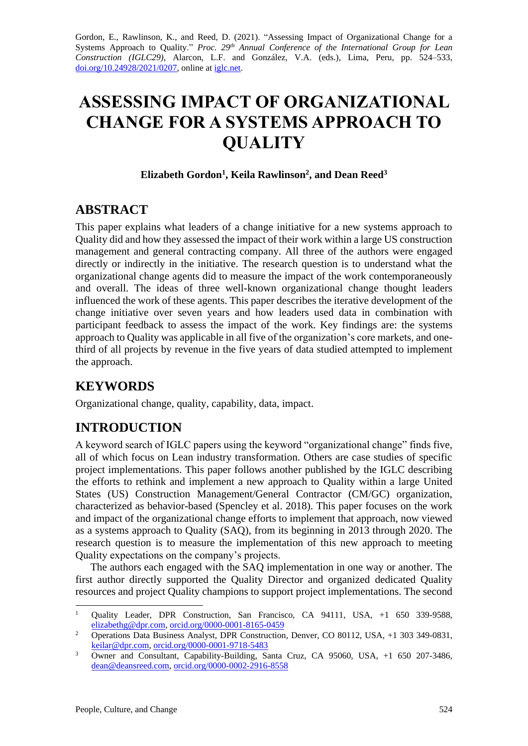Gordon, E., Rawlinson, K., and Reed, D. (2021). "Assessing Impact of Organizational Change for a Systems Approach to Quality." *Proc. 29<sup>th</sup> Annual Conference of the International Group for Lean Construction (IGLC29),* Alarcon, L.F. and González, V.A. (eds.)*,* Lima, Peru, pp. 524–533, [doi.org/10.24928/2021/0207,](https://doi.org/10.24928/2021/0207) online a[t iglc.net.](http://iglc.net/)

# **ASSESSING IMPACT OF ORGANIZATIONAL CHANGE FOR A SYSTEMS APPROACH TO QUALITY**

#### **Elizabeth Gordon<sup>1</sup> , Keila Rawlinson<sup>2</sup> , and Dean Reed<sup>3</sup>**

### **ABSTRACT**

This paper explains what leaders of a change initiative for a new systems approach to Quality did and how they assessed the impact of their work within a large US construction management and general contracting company. All three of the authors were engaged directly or indirectly in the initiative. The research question is to understand what the organizational change agents did to measure the impact of the work contemporaneously and overall. The ideas of three well-known organizational change thought leaders influenced the work of these agents. This paper describes the iterative development of the change initiative over seven years and how leaders used data in combination with participant feedback to assess the impact of the work. Key findings are: the systems approach to Quality was applicable in all five of the organization's core markets, and onethird of all projects by revenue in the five years of data studied attempted to implement the approach.

# **KEYWORDS**

Organizational change, quality, capability, data, impact.

# **INTRODUCTION**

A keyword search of IGLC papers using the keyword "organizational change" finds five, all of which focus on Lean industry transformation. Others are case studies of specific project implementations. This paper follows another published by the IGLC describing the efforts to rethink and implement a new approach to Quality within a large United States (US) Construction Management/General Contractor (CM/GC) organization, characterized as behavior-based (Spencley et al. 2018). This paper focuses on the work and impact of the organizational change efforts to implement that approach, now viewed as a systems approach to Quality (SAQ), from its beginning in 2013 through 2020. The research question is to measure the implementation of this new approach to meeting Quality expectations on the company's projects.

The authors each engaged with the SAQ implementation in one way or another. The first author directly supported the Quality Director and organized dedicated Quality resources and project Quality champions to support project implementations. The second

<sup>&</sup>lt;sup>1</sup> Quality Leader, DPR Construction, San Francisco, CA 94111, USA, +1 650 339-9588, [elizabethg@dpr.com,](mailto:tommelein@berkeley.edu) [orcid.org/0000-0001-8165-0459](https://orcid.org/0000-0001-8165-0459)

<sup>&</sup>lt;sup>2</sup> Operations Data Business Analyst, DPR Construction, Denver, CO 80112, USA, +1 303 349-0831, [keilar@dpr.com,](mailto:tommelein@berkeley.edu) [orcid.org/0000-0001-9718-5483](https://orcid.org/0000-0001-9718-5483)

<sup>3</sup> Owner and Consultant, Capability-Building, Santa Cruz, CA 95060, USA, +1 650 207-3486, [dean@deansreed.com,](mailto:dean@deansreed.com) [orcid.org/0000-0002-2916-8558](https://orcid.org/0000-0002-2916-8558)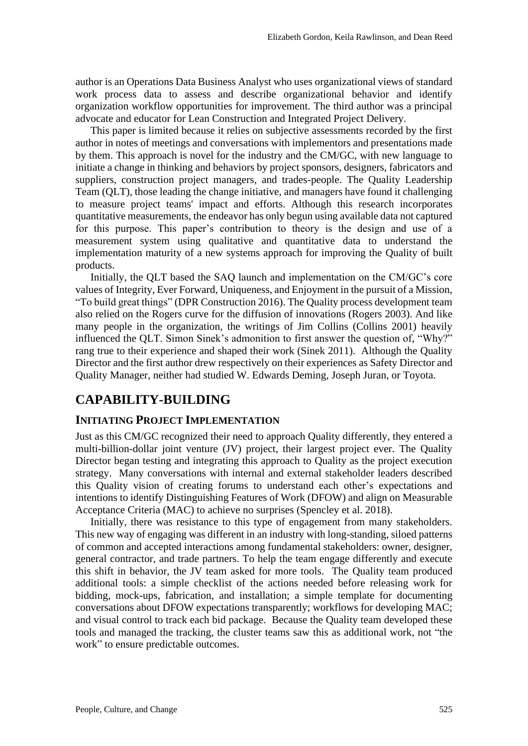author is an Operations Data Business Analyst who uses organizational views of standard work process data to assess and describe organizational behavior and identify organization workflow opportunities for improvement. The third author was a principal advocate and educator for Lean Construction and Integrated Project Delivery.

This paper is limited because it relies on subjective assessments recorded by the first author in notes of meetings and conversations with implementors and presentations made by them. This approach is novel for the industry and the CM/GC, with new language to initiate a change in thinking and behaviors by project sponsors, designers, fabricators and suppliers, construction project managers, and trades-people. The Quality Leadership Team (QLT), those leading the change initiative, and managers have found it challenging to measure project teams' impact and efforts. Although this research incorporates quantitative measurements, the endeavor has only begun using available data not captured for this purpose. This paper's contribution to theory is the design and use of a measurement system using qualitative and quantitative data to understand the implementation maturity of a new systems approach for improving the Quality of built products.

Initially, the QLT based the SAQ launch and implementation on the CM/GC's core values of Integrity, Ever Forward, Uniqueness, and Enjoyment in the pursuit of a Mission, "To build great things" (DPR Construction 2016). The Quality process development team also relied on the Rogers curve for the diffusion of innovations (Rogers 2003). And like many people in the organization, the writings of Jim Collins (Collins 2001) heavily influenced the QLT. Simon Sinek's admonition to first answer the question of, "Why?" rang true to their experience and shaped their work (Sinek 2011). Although the Quality Director and the first author drew respectively on their experiences as Safety Director and Quality Manager, neither had studied W. Edwards Deming, Joseph Juran, or Toyota.

# **CAPABILITY-BUILDING**

### **INITIATING PROJECT IMPLEMENTATION**

Just as this CM/GC recognized their need to approach Quality differently, they entered a multi-billion-dollar joint venture (JV) project, their largest project ever. The Quality Director began testing and integrating this approach to Quality as the project execution strategy. Many conversations with internal and external stakeholder leaders described this Quality vision of creating forums to understand each other's expectations and intentions to identify Distinguishing Features of Work (DFOW) and align on Measurable Acceptance Criteria (MAC) to achieve no surprises (Spencley et al. 2018).

Initially, there was resistance to this type of engagement from many stakeholders. This new way of engaging was different in an industry with long-standing, siloed patterns of common and accepted interactions among fundamental stakeholders: owner, designer, general contractor, and trade partners. To help the team engage differently and execute this shift in behavior, the JV team asked for more tools. The Quality team produced additional tools: a simple checklist of the actions needed before releasing work for bidding, mock-ups, fabrication, and installation; a simple template for documenting conversations about DFOW expectations transparently; workflows for developing MAC; and visual control to track each bid package. Because the Quality team developed these tools and managed the tracking, the cluster teams saw this as additional work, not "the work" to ensure predictable outcomes.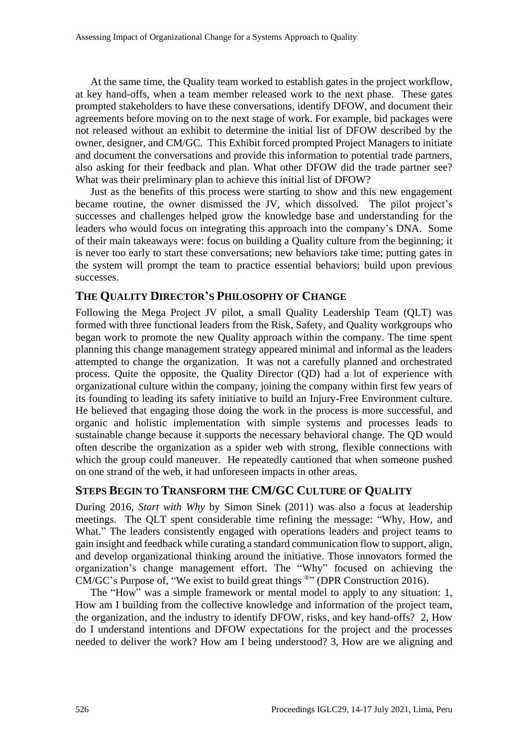At the same time, the Quality team worked to establish gates in the project workflow, at key hand-offs, when a team member released work to the next phase. These gates prompted stakeholders to have these conversations, identify DFOW, and document their agreements before moving on to the next stage of work. For example, bid packages were not released without an exhibit to determine the initial list of DFOW described by the owner, designer, and CM/GC. This Exhibit forced prompted Project Managers to initiate and document the conversations and provide this information to potential trade partners, also asking for their feedback and plan. What other DFOW did the trade partner see? What was their preliminary plan to achieve this initial list of DFOW?

Just as the benefits of this process were starting to show and this new engagement became routine, the owner dismissed the JV, which dissolved. The pilot project's successes and challenges helped grow the knowledge base and understanding for the leaders who would focus on integrating this approach into the company's DNA. Some of their main takeaways were: focus on building a Quality culture from the beginning; it is never too early to start these conversations; new behaviors take time; putting gates in the system will prompt the team to practice essential behaviors; build upon previous successes.

#### **THE QUALITY DIRECTOR'S PHILOSOPHY OF CHANGE**

Following the Mega Project JV pilot, a small Quality Leadership Team (QLT) was formed with three functional leaders from the Risk, Safety, and Quality workgroups who began work to promote the new Quality approach within the company. The time spent planning this change management strategy appeared minimal and informal as the leaders attempted to change the organization. It was not a carefully planned and orchestrated process. Quite the opposite, the Quality Director (QD) had a lot of experience with organizational culture within the company, joining the company within first few years of its founding to leading its safety initiative to build an Injury-Free Environment culture. He believed that engaging those doing the work in the process is more successful, and organic and holistic implementation with simple systems and processes leads to sustainable change because it supports the necessary behavioral change. The QD would often describe the organization as a spider web with strong, flexible connections with which the group could maneuver. He repeatedly cautioned that when someone pushed on one strand of the web, it had unforeseen impacts in other areas.

### **STEPS BEGIN TO TRANSFORM THE CM/GC CULTURE OF QUALITY**

During 2016, *Start with Why* by Simon Sinek (2011) was also a focus at leadership meetings. The QLT spent considerable time refining the message: "Why, How, and What." The leaders consistently engaged with operations leaders and project teams to gain insight and feedback while curating a standard communication flow to support, align, and develop organizational thinking around the initiative. Those innovators formed the organization's change management effort. The "Why" focused on achieving the CM/GC's Purpose of, "We exist to build great things <sup>®</sup>" (DPR Construction 2016).

The "How" was a simple framework or mental model to apply to any situation: 1, How am I building from the collective knowledge and information of the project team, the organization, and the industry to identify DFOW, risks, and key hand-offs? 2, How do I understand intentions and DFOW expectations for the project and the processes needed to deliver the work? How am I being understood? 3, How are we aligning and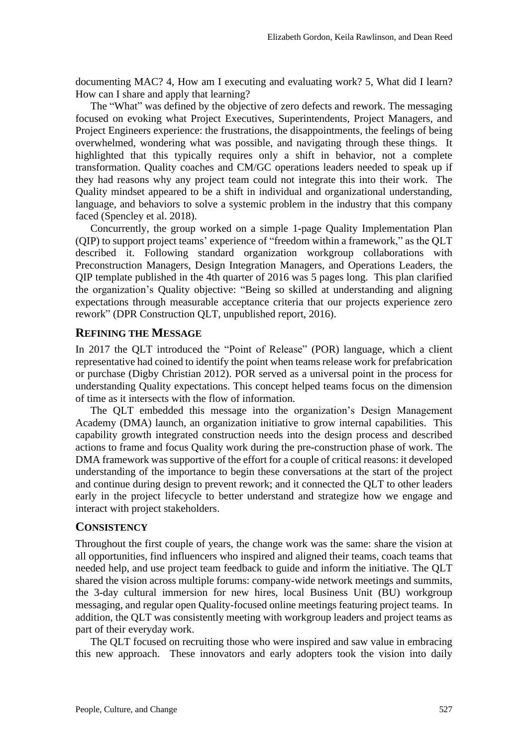documenting MAC? 4, How am I executing and evaluating work? 5, What did I learn? How can I share and apply that learning?

The "What" was defined by the objective of zero defects and rework. The messaging focused on evoking what Project Executives, Superintendents, Project Managers, and Project Engineers experience: the frustrations, the disappointments, the feelings of being overwhelmed, wondering what was possible, and navigating through these things. It highlighted that this typically requires only a shift in behavior, not a complete transformation. Quality coaches and CM/GC operations leaders needed to speak up if they had reasons why any project team could not integrate this into their work. The Quality mindset appeared to be a shift in individual and organizational understanding, language, and behaviors to solve a systemic problem in the industry that this company faced (Spencley et al. 2018).

Concurrently, the group worked on a simple 1-page Quality Implementation Plan (QIP) to support project teams' experience of "freedom within a framework," as the QLT described it. Following standard organization workgroup collaborations with Preconstruction Managers, Design Integration Managers, and Operations Leaders, the QIP template published in the 4th quarter of 2016 was 5 pages long. This plan clarified the organization's Quality objective: "Being so skilled at understanding and aligning expectations through measurable acceptance criteria that our projects experience zero rework" (DPR Construction QLT, unpublished report, 2016).

#### **REFINING THE MESSAGE**

In 2017 the QLT introduced the "Point of Release" (POR) language, which a client representative had coined to identify the point when teams release work for prefabrication or purchase (Digby Christian 2012). POR served as a universal point in the process for understanding Quality expectations. This concept helped teams focus on the dimension of time as it intersects with the flow of information.

The QLT embedded this message into the organization's Design Management Academy (DMA) launch, an organization initiative to grow internal capabilities. This capability growth integrated construction needs into the design process and described actions to frame and focus Quality work during the pre-construction phase of work. The DMA framework was supportive of the effort for a couple of critical reasons: it developed understanding of the importance to begin these conversations at the start of the project and continue during design to prevent rework; and it connected the QLT to other leaders early in the project lifecycle to better understand and strategize how we engage and interact with project stakeholders.

#### **CONSISTENCY**

Throughout the first couple of years, the change work was the same: share the vision at all opportunities, find influencers who inspired and aligned their teams, coach teams that needed help, and use project team feedback to guide and inform the initiative. The QLT shared the vision across multiple forums: company-wide network meetings and summits, the 3-day cultural immersion for new hires, local Business Unit (BU) workgroup messaging, and regular open Quality-focused online meetings featuring project teams. In addition, the QLT was consistently meeting with workgroup leaders and project teams as part of their everyday work.

The QLT focused on recruiting those who were inspired and saw value in embracing this new approach. These innovators and early adopters took the vision into daily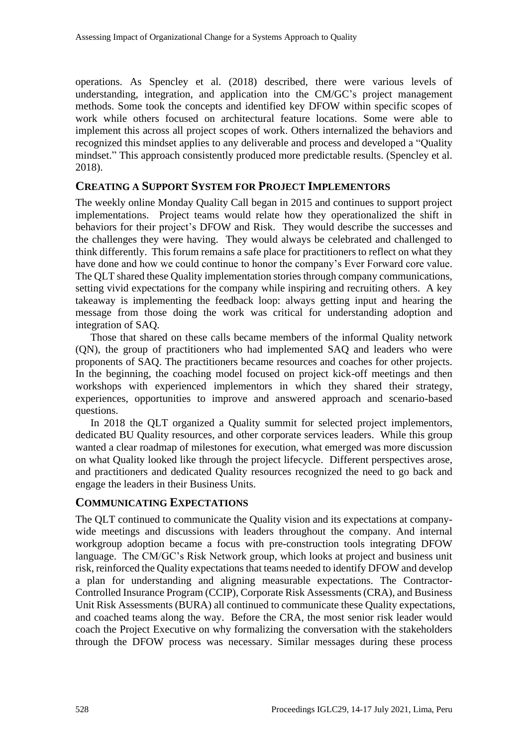operations. As Spencley et al. (2018) described, there were various levels of understanding, integration, and application into the CM/GC's project management methods. Some took the concepts and identified key DFOW within specific scopes of work while others focused on architectural feature locations. Some were able to implement this across all project scopes of work. Others internalized the behaviors and recognized this mindset applies to any deliverable and process and developed a "Quality mindset." This approach consistently produced more predictable results. (Spencley et al. 2018).

### **CREATING A SUPPORT SYSTEM FOR PROJECT IMPLEMENTORS**

The weekly online Monday Quality Call began in 2015 and continues to support project implementations. Project teams would relate how they operationalized the shift in behaviors for their project's DFOW and Risk. They would describe the successes and the challenges they were having. They would always be celebrated and challenged to think differently. This forum remains a safe place for practitioners to reflect on what they have done and how we could continue to honor the company's Ever Forward core value. The QLT shared these Quality implementation stories through company communications, setting vivid expectations for the company while inspiring and recruiting others. A key takeaway is implementing the feedback loop: always getting input and hearing the message from those doing the work was critical for understanding adoption and integration of SAQ.

Those that shared on these calls became members of the informal Quality network (QN), the group of practitioners who had implemented SAQ and leaders who were proponents of SAQ. The practitioners became resources and coaches for other projects. In the beginning, the coaching model focused on project kick-off meetings and then workshops with experienced implementors in which they shared their strategy, experiences, opportunities to improve and answered approach and scenario-based questions.

In 2018 the QLT organized a Quality summit for selected project implementors, dedicated BU Quality resources, and other corporate services leaders. While this group wanted a clear roadmap of milestones for execution, what emerged was more discussion on what Quality looked like through the project lifecycle. Different perspectives arose, and practitioners and dedicated Quality resources recognized the need to go back and engage the leaders in their Business Units.

#### **COMMUNICATING EXPECTATIONS**

The QLT continued to communicate the Quality vision and its expectations at companywide meetings and discussions with leaders throughout the company. And internal workgroup adoption became a focus with pre-construction tools integrating DFOW language. The CM/GC's Risk Network group, which looks at project and business unit risk, reinforced the Quality expectations that teams needed to identify DFOW and develop a plan for understanding and aligning measurable expectations. The Contractor-Controlled Insurance Program (CCIP), Corporate Risk Assessments (CRA), and Business Unit Risk Assessments (BURA) all continued to communicate these Quality expectations, and coached teams along the way. Before the CRA, the most senior risk leader would coach the Project Executive on why formalizing the conversation with the stakeholders through the DFOW process was necessary. Similar messages during these process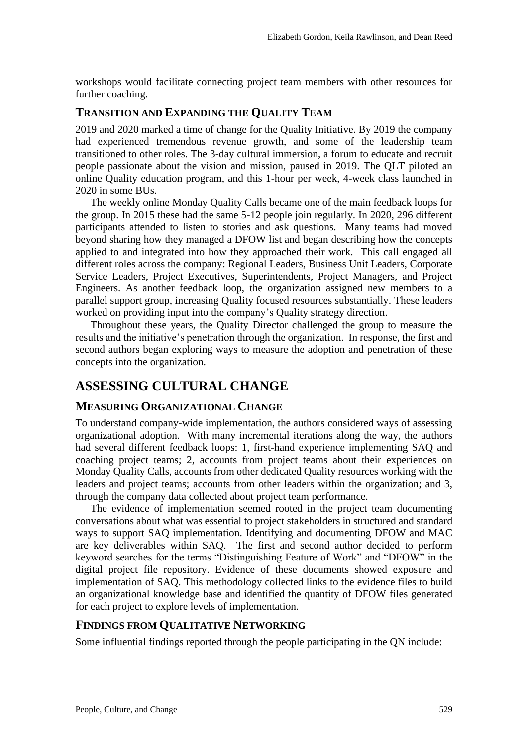workshops would facilitate connecting project team members with other resources for further coaching.

### **TRANSITION AND EXPANDING THE QUALITY TEAM**

2019 and 2020 marked a time of change for the Quality Initiative. By 2019 the company had experienced tremendous revenue growth, and some of the leadership team transitioned to other roles. The 3-day cultural immersion, a forum to educate and recruit people passionate about the vision and mission, paused in 2019. The QLT piloted an online Quality education program, and this 1-hour per week, 4-week class launched in 2020 in some BUs.

The weekly online Monday Quality Calls became one of the main feedback loops for the group. In 2015 these had the same 5-12 people join regularly. In 2020, 296 different participants attended to listen to stories and ask questions. Many teams had moved beyond sharing how they managed a DFOW list and began describing how the concepts applied to and integrated into how they approached their work. This call engaged all different roles across the company: Regional Leaders, Business Unit Leaders, Corporate Service Leaders, Project Executives, Superintendents, Project Managers, and Project Engineers. As another feedback loop, the organization assigned new members to a parallel support group, increasing Quality focused resources substantially. These leaders worked on providing input into the company's Quality strategy direction.

Throughout these years, the Quality Director challenged the group to measure the results and the initiative's penetration through the organization. In response, the first and second authors began exploring ways to measure the adoption and penetration of these concepts into the organization.

# **ASSESSING CULTURAL CHANGE**

#### **MEASURING ORGANIZATIONAL CHANGE**

To understand company-wide implementation, the authors considered ways of assessing organizational adoption. With many incremental iterations along the way, the authors had several different feedback loops: 1, first-hand experience implementing SAQ and coaching project teams; 2, accounts from project teams about their experiences on Monday Quality Calls, accounts from other dedicated Quality resources working with the leaders and project teams; accounts from other leaders within the organization; and 3, through the company data collected about project team performance.

The evidence of implementation seemed rooted in the project team documenting conversations about what was essential to project stakeholders in structured and standard ways to support SAQ implementation. Identifying and documenting DFOW and MAC are key deliverables within SAQ. The first and second author decided to perform keyword searches for the terms "Distinguishing Feature of Work" and "DFOW" in the digital project file repository. Evidence of these documents showed exposure and implementation of SAQ. This methodology collected links to the evidence files to build an organizational knowledge base and identified the quantity of DFOW files generated for each project to explore levels of implementation.

#### **FINDINGS FROM QUALITATIVE NETWORKING**

Some influential findings reported through the people participating in the QN include: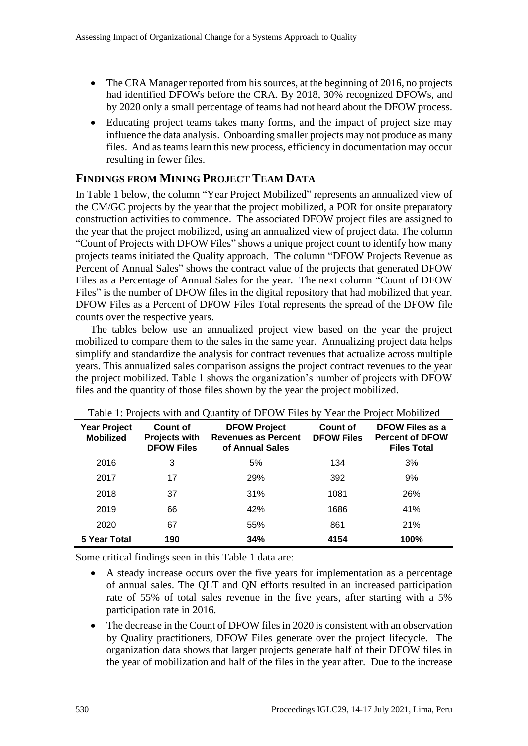- The CRA Manager reported from his sources, at the beginning of 2016, no projects had identified DFOWs before the CRA. By 2018, 30% recognized DFOWs, and by 2020 only a small percentage of teams had not heard about the DFOW process.
- Educating project teams takes many forms, and the impact of project size may influence the data analysis. Onboarding smaller projects may not produce as many files. And as teams learn this new process, efficiency in documentation may occur resulting in fewer files.

### **FINDINGS FROM MINING PROJECT TEAM DATA**

In Table 1 below, the column "Year Project Mobilized" represents an annualized view of the CM/GC projects by the year that the project mobilized, a POR for onsite preparatory construction activities to commence. The associated DFOW project files are assigned to the year that the project mobilized, using an annualized view of project data. The column "Count of Projects with DFOW Files" shows a unique project count to identify how many projects teams initiated the Quality approach. The column "DFOW Projects Revenue as Percent of Annual Sales" shows the contract value of the projects that generated DFOW Files as a Percentage of Annual Sales for the year. The next column "Count of DFOW Files" is the number of DFOW files in the digital repository that had mobilized that year. DFOW Files as a Percent of DFOW Files Total represents the spread of the DFOW file counts over the respective years.

The tables below use an annualized project view based on the year the project mobilized to compare them to the sales in the same year. Annualizing project data helps simplify and standardize the analysis for contract revenues that actualize across multiple years. This annualized sales comparison assigns the project contract revenues to the year the project mobilized. Table 1 shows the organization's number of projects with DFOW files and the quantity of those files shown by the year the project mobilized.

| <b>Year Project</b><br><b>Mobilized</b> | Count of<br><b>Projects with</b><br><b>DFOW Files</b> | <b>DFOW Project</b><br><b>Revenues as Percent</b><br>of Annual Sales | Count of<br><b>DFOW Files</b> | DFOW Files as a<br><b>Percent of DFOW</b><br><b>Files Total</b> |
|-----------------------------------------|-------------------------------------------------------|----------------------------------------------------------------------|-------------------------------|-----------------------------------------------------------------|
| 2016                                    | 3                                                     | 5%                                                                   | 134                           | 3%                                                              |
| 2017                                    | 17                                                    | 29%                                                                  | 392                           | 9%                                                              |
| 2018                                    | 37                                                    | 31%                                                                  | 1081                          | 26%                                                             |
| 2019                                    | 66                                                    | 42%                                                                  | 1686                          | 41%                                                             |
| 2020                                    | 67                                                    | 55%                                                                  | 861                           | 21%                                                             |
| 5 Year Total                            | 190                                                   | 34%                                                                  | 4154                          | 100%                                                            |

| Table 1: Projects with and Quantity of DFOW Files by Year the Project Mobilized |  |  |  |
|---------------------------------------------------------------------------------|--|--|--|
|                                                                                 |  |  |  |

Some critical findings seen in this Table 1 data are:

- A steady increase occurs over the five years for implementation as a percentage of annual sales. The QLT and QN efforts resulted in an increased participation rate of 55% of total sales revenue in the five years, after starting with a 5% participation rate in 2016.
- The decrease in the Count of DFOW files in 2020 is consistent with an observation by Quality practitioners, DFOW Files generate over the project lifecycle. The organization data shows that larger projects generate half of their DFOW files in the year of mobilization and half of the files in the year after. Due to the increase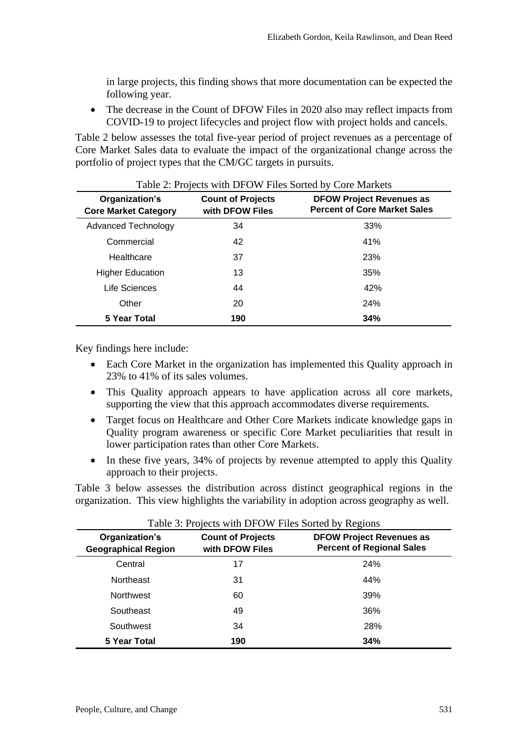in large projects, this finding shows that more documentation can be expected the following year.

• The decrease in the Count of DFOW Files in 2020 also may reflect impacts from COVID-19 to project lifecycles and project flow with project holds and cancels.

Table 2 below assesses the total five-year period of project revenues as a percentage of Core Market Sales data to evaluate the impact of the organizational change across the portfolio of project types that the CM/GC targets in pursuits.

| Organization's<br><b>Core Market Category</b> | $1.000 \pm 1.10$ (comparent $1.01 \pm 1.00$ by $1.000 \pm 0.000$ and $1.000 \pm 0.000$<br><b>Count of Projects</b><br>with DFOW Files | <b>DFOW Project Revenues as</b><br><b>Percent of Core Market Sales</b> |
|-----------------------------------------------|---------------------------------------------------------------------------------------------------------------------------------------|------------------------------------------------------------------------|
| <b>Advanced Technology</b>                    | 34                                                                                                                                    | 33%                                                                    |
| Commercial                                    | 42                                                                                                                                    | 41%                                                                    |
| Healthcare                                    | 37                                                                                                                                    | 23%                                                                    |
| <b>Higher Education</b>                       | 13                                                                                                                                    | 35%                                                                    |
| Life Sciences                                 | 44                                                                                                                                    | 42%                                                                    |
| Other                                         | 20                                                                                                                                    | 24%                                                                    |
| 5 Year Total                                  | 190                                                                                                                                   | 34%                                                                    |

#### Table 2: Projects with DFOW Files Sorted by Core Markets

Key findings here include:

- Each Core Market in the organization has implemented this Quality approach in 23% to 41% of its sales volumes.
- This Quality approach appears to have application across all core markets, supporting the view that this approach accommodates diverse requirements.
- Target focus on Healthcare and Other Core Markets indicate knowledge gaps in Quality program awareness or specific Core Market peculiarities that result in lower participation rates than other Core Markets.
- In these five years, 34% of projects by revenue attempted to apply this Quality approach to their projects.

Table 3 below assesses the distribution across distinct geographical regions in the organization. This view highlights the variability in adoption across geography as well.

| Organization's<br><b>Geographical Region</b> | <b>Count of Projects</b><br>with DFOW Files | <b>DFOW Project Revenues as</b><br><b>Percent of Regional Sales</b> |
|----------------------------------------------|---------------------------------------------|---------------------------------------------------------------------|
| Central                                      | 17                                          | 24%                                                                 |
| <b>Northeast</b>                             | 31                                          | 44%                                                                 |
| <b>Northwest</b>                             | 60                                          | 39%                                                                 |
| Southeast                                    | 49                                          | 36%                                                                 |
| Southwest                                    | 34                                          | 28%                                                                 |
| <b>5 Year Total</b>                          | 190                                         | 34%                                                                 |

Table 3: Projects with DFOW Files Sorted by Regions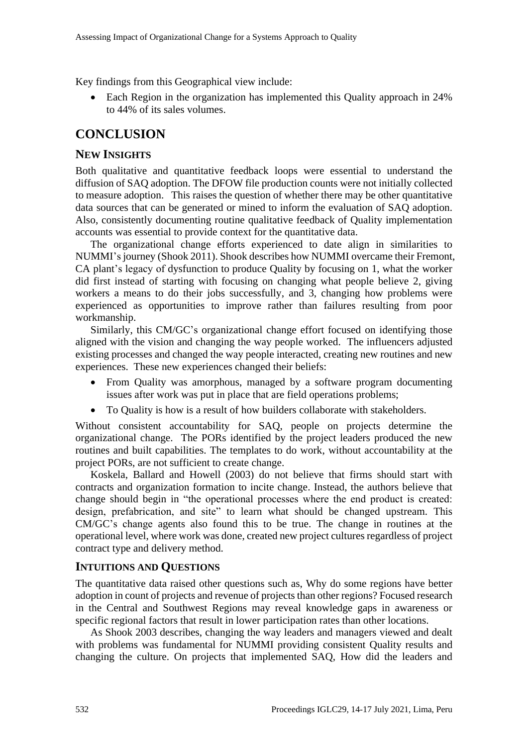Key findings from this Geographical view include:

• Each Region in the organization has implemented this Quality approach in 24% to 44% of its sales volumes.

## **CONCLUSION**

### **NEW INSIGHTS**

Both qualitative and quantitative feedback loops were essential to understand the diffusion of SAQ adoption. The DFOW file production counts were not initially collected to measure adoption. This raises the question of whether there may be other quantitative data sources that can be generated or mined to inform the evaluation of SAQ adoption. Also, consistently documenting routine qualitative feedback of Quality implementation accounts was essential to provide context for the quantitative data.

The organizational change efforts experienced to date align in similarities to NUMMI's journey (Shook 2011). Shook describes how NUMMI overcame their Fremont, CA plant's legacy of dysfunction to produce Quality by focusing on 1, what the worker did first instead of starting with focusing on changing what people believe 2, giving workers a means to do their jobs successfully, and 3, changing how problems were experienced as opportunities to improve rather than failures resulting from poor workmanship.

Similarly, this CM/GC's organizational change effort focused on identifying those aligned with the vision and changing the way people worked. The influencers adjusted existing processes and changed the way people interacted, creating new routines and new experiences. These new experiences changed their beliefs:

- From Quality was amorphous, managed by a software program documenting issues after work was put in place that are field operations problems;
- To Quality is how is a result of how builders collaborate with stakeholders.

Without consistent accountability for SAQ, people on projects determine the organizational change. The PORs identified by the project leaders produced the new routines and built capabilities. The templates to do work, without accountability at the project PORs, are not sufficient to create change.

Koskela, Ballard and Howell (2003) do not believe that firms should start with contracts and organization formation to incite change. Instead, the authors believe that change should begin in "the operational processes where the end product is created: design, prefabrication, and site" to learn what should be changed upstream. This CM/GC's change agents also found this to be true. The change in routines at the operational level, where work was done, created new project cultures regardless of project contract type and delivery method.

#### **INTUITIONS AND QUESTIONS**

The quantitative data raised other questions such as, Why do some regions have better adoption in count of projects and revenue of projects than other regions? Focused research in the Central and Southwest Regions may reveal knowledge gaps in awareness or specific regional factors that result in lower participation rates than other locations.

As Shook 2003 describes, changing the way leaders and managers viewed and dealt with problems was fundamental for NUMMI providing consistent Quality results and changing the culture. On projects that implemented SAQ, How did the leaders and